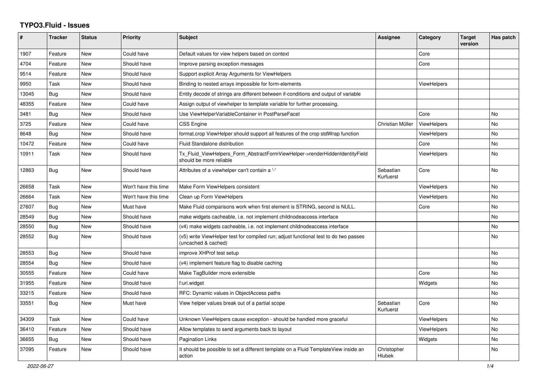## **TYPO3.Fluid - Issues**

| #     | Tracker    | <b>Status</b> | <b>Priority</b>      | <b>Subject</b>                                                                                              | Assignee               | Category           | <b>Target</b><br>version | Has patch      |
|-------|------------|---------------|----------------------|-------------------------------------------------------------------------------------------------------------|------------------------|--------------------|--------------------------|----------------|
| 1907  | Feature    | New           | Could have           | Default values for view helpers based on context                                                            |                        | Core               |                          |                |
| 4704  | Feature    | New           | Should have          | Improve parsing exception messages                                                                          |                        | Core               |                          |                |
| 9514  | Feature    | New           | Should have          | Support explicit Array Arguments for ViewHelpers                                                            |                        |                    |                          |                |
| 9950  | Task       | New           | Should have          | Binding to nested arrays impossible for form-elements                                                       |                        | <b>ViewHelpers</b> |                          |                |
| 13045 | Bug        | <b>New</b>    | Should have          | Entity decode of strings are different between if-conditions and output of variable                         |                        |                    |                          |                |
| 48355 | Feature    | New           | Could have           | Assign output of viewhelper to template variable for further processing.                                    |                        |                    |                          |                |
| 3481  | Bug        | <b>New</b>    | Should have          | Use ViewHelperVariableContainer in PostParseFacet                                                           |                        | Core               |                          | <b>No</b>      |
| 3725  | Feature    | New           | Could have           | <b>CSS Engine</b>                                                                                           | Christian Müller       | <b>ViewHelpers</b> |                          | <b>No</b>      |
| 8648  | Bug        | <b>New</b>    | Should have          | format.crop ViewHelper should support all features of the crop stdWrap function                             |                        | ViewHelpers        |                          | <b>No</b>      |
| 10472 | Feature    | <b>New</b>    | Could have           | <b>Fluid Standalone distribution</b>                                                                        |                        | Core               |                          | No.            |
| 10911 | Task       | New           | Should have          | Tx_Fluid_ViewHelpers_Form_AbstractFormViewHelper->renderHiddenIdentityField<br>should be more reliable      |                        | <b>ViewHelpers</b> |                          | No             |
| 12863 | Bug        | <b>New</b>    | Should have          | Attributes of a viewhelper can't contain a '-'                                                              | Sebastian<br>Kurfuerst | Core               |                          | No.            |
| 26658 | Task       | New           | Won't have this time | Make Form ViewHelpers consistent                                                                            |                        | <b>ViewHelpers</b> |                          | No             |
| 26664 | Task       | <b>New</b>    | Won't have this time | Clean up Form ViewHelpers                                                                                   |                        | <b>ViewHelpers</b> |                          | No             |
| 27607 | Bug        | <b>New</b>    | Must have            | Make Fluid comparisons work when first element is STRING, second is NULL.                                   |                        | Core               |                          | <b>No</b>      |
| 28549 | Bug        | <b>New</b>    | Should have          | make widgets cacheable, i.e. not implement childnodeaccess interface                                        |                        |                    |                          | <b>No</b>      |
| 28550 | Bug        | <b>New</b>    | Should have          | (v4) make widgets cacheable, i.e. not implement childnodeaccess interface                                   |                        |                    |                          | N <sub>o</sub> |
| 28552 | Bug        | <b>New</b>    | Should have          | (v5) write ViewHelper test for compiled run; adjust functional test to do two passes<br>(uncached & cached) |                        |                    |                          | No             |
| 28553 | <b>Bug</b> | <b>New</b>    | Should have          | improve XHProf test setup                                                                                   |                        |                    |                          | N <sub>o</sub> |
| 28554 | Bug        | <b>New</b>    | Should have          | (v4) implement feature flag to disable caching                                                              |                        |                    |                          | <b>No</b>      |
| 30555 | Feature    | New           | Could have           | Make TagBuilder more extensible                                                                             |                        | Core               |                          | No             |
| 31955 | Feature    | <b>New</b>    | Should have          | f:uri.widget                                                                                                |                        | Widgets            |                          | No.            |
| 33215 | Feature    | <b>New</b>    | Should have          | RFC: Dynamic values in ObjectAccess paths                                                                   |                        |                    |                          | <b>No</b>      |
| 33551 | Bug        | <b>New</b>    | Must have            | View helper values break out of a partial scope                                                             | Sebastian<br>Kurfuerst | Core               |                          | <b>No</b>      |
| 34309 | Task       | <b>New</b>    | Could have           | Unknown ViewHelpers cause exception - should be handled more graceful                                       |                        | <b>ViewHelpers</b> |                          | <b>No</b>      |
| 36410 | Feature    | New           | Should have          | Allow templates to send arguments back to layout                                                            |                        | <b>ViewHelpers</b> |                          | <b>No</b>      |
| 36655 | Bug        | New           | Should have          | <b>Pagination Links</b>                                                                                     |                        | Widgets            |                          | <b>No</b>      |
| 37095 | Feature    | New           | Should have          | It should be possible to set a different template on a Fluid TemplateView inside an<br>action               | Christopher<br>Hlubek  |                    |                          | No             |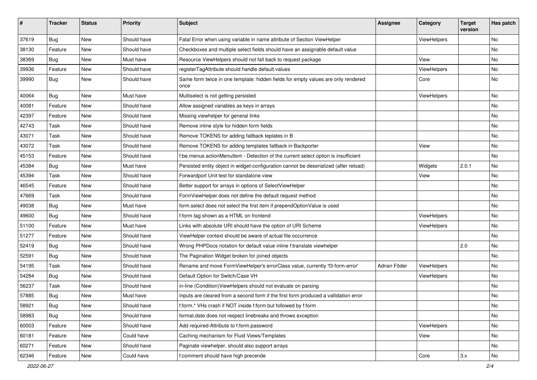| #     | <b>Tracker</b> | <b>Status</b> | <b>Priority</b> | Subject                                                                                   | <b>Assignee</b> | Category    | <b>Target</b><br>version | Has patch |
|-------|----------------|---------------|-----------------|-------------------------------------------------------------------------------------------|-----------------|-------------|--------------------------|-----------|
| 37619 | Bug            | New           | Should have     | Fatal Error when using variable in name attribute of Section ViewHelper                   |                 | ViewHelpers |                          | <b>No</b> |
| 38130 | Feature        | New           | Should have     | Checkboxes and multiple select fields should have an assignable default value             |                 |             |                          | No        |
| 38369 | Bug            | New           | Must have       | Resource ViewHelpers should not fall back to request package                              |                 | View        |                          | No        |
| 39936 | Feature        | New           | Should have     | registerTagAttribute should handle default values                                         |                 | ViewHelpers |                          | No        |
| 39990 | Bug            | New           | Should have     | Same form twice in one template: hidden fields for empty values are only rendered<br>once |                 | Core        |                          | No        |
| 40064 | Bug            | New           | Must have       | Multiselect is not getting persisted                                                      |                 | ViewHelpers |                          | No        |
| 40081 | Feature        | New           | Should have     | Allow assigned variables as keys in arrays                                                |                 |             |                          | No        |
| 42397 | Feature        | New           | Should have     | Missing viewhelper for general links                                                      |                 |             |                          | No        |
| 42743 | Task           | New           | Should have     | Remove inline style for hidden form fields                                                |                 |             |                          | No        |
| 43071 | Task           | New           | Should have     | Remove TOKENS for adding fallback teplates in B                                           |                 |             |                          | No        |
| 43072 | Task           | New           | Should have     | Remove TOKENS for adding templates fallback in Backporter                                 |                 | View        |                          | No        |
| 45153 | Feature        | New           | Should have     | f:be.menus.actionMenuItem - Detection of the current select option is insufficient        |                 |             |                          | No        |
| 45384 | Bug            | New           | Must have       | Persisted entity object in widget-configuration cannot be deserialized (after reload)     |                 | Widgets     | 2.0.1                    | No        |
| 45394 | Task           | New           | Should have     | Forwardport Unit test for standalone view                                                 |                 | View        |                          | No        |
| 46545 | Feature        | New           | Should have     | Better support for arrays in options of SelectViewHelper                                  |                 |             |                          | No        |
| 47669 | Task           | New           | Should have     | FormViewHelper does not define the default request method                                 |                 |             |                          | No        |
| 49038 | <b>Bug</b>     | New           | Must have       | form.select does not select the first item if prependOptionValue is used                  |                 |             |                          | No        |
| 49600 | Bug            | New           | Should have     | f:form tag shown as a HTML on frontend                                                    |                 | ViewHelpers |                          | No        |
| 51100 | Feature        | New           | Must have       | Links with absolute URI should have the option of URI Scheme                              |                 | ViewHelpers |                          | No        |
| 51277 | Feature        | New           | Should have     | ViewHelper context should be aware of actual file occurrence                              |                 |             |                          | No        |
| 52419 | <b>Bug</b>     | New           | Should have     | Wrong PHPDocs notation for default value inline f:translate viewhelper                    |                 |             | 2.0                      | No        |
| 52591 | Bug            | New           | Should have     | The Pagination Widget broken for joined objects                                           |                 |             |                          | No        |
| 54195 | Task           | New           | Should have     | Rename and move FormViewHelper's errorClass value, currently 'f3-form-error'              | Adrian Föder    | ViewHelpers |                          | No        |
| 54284 | Bug            | New           | Should have     | Default Option for Switch/Case VH                                                         |                 | ViewHelpers |                          | No        |
| 56237 | Task           | New           | Should have     | in-line (Condition) View Helpers should not evaluate on parsing                           |                 |             |                          | No        |
| 57885 | <b>Bug</b>     | New           | Must have       | Inputs are cleared from a second form if the first form produced a vallidation error      |                 |             |                          | No        |
| 58921 | <b>Bug</b>     | New           | Should have     | f:form.* VHs crash if NOT inside f:form but followed by f:form                            |                 |             |                          | No        |
| 58983 | <b>Bug</b>     | New           | Should have     | format.date does not respect linebreaks and throws exception                              |                 |             |                          | No        |
| 60003 | Feature        | New           | Should have     | Add required-Attribute to f:form.password                                                 |                 | ViewHelpers |                          | No        |
| 60181 | Feature        | New           | Could have      | Caching mechanism for Fluid Views/Templates                                               |                 | View        |                          | No        |
| 60271 | Feature        | New           | Should have     | Paginate viewhelper, should also support arrays                                           |                 |             |                          | No        |
| 62346 | Feature        | New           | Could have      | f:comment should have high precende                                                       |                 | Core        | 3.x                      | No        |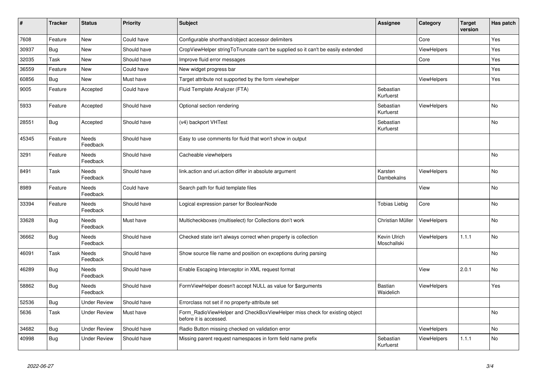| $\vert$ # | <b>Tracker</b> | <b>Status</b>            | <b>Priority</b> | <b>Subject</b>                                                                                       | <b>Assignee</b>             | Category           | <b>Target</b><br>version | Has patch |
|-----------|----------------|--------------------------|-----------------|------------------------------------------------------------------------------------------------------|-----------------------------|--------------------|--------------------------|-----------|
| 7608      | Feature        | New                      | Could have      | Configurable shorthand/object accessor delimiters                                                    |                             | Core               |                          | Yes       |
| 30937     | Bug            | New                      | Should have     | CropViewHelper stringToTruncate can't be supplied so it can't be easily extended                     |                             | ViewHelpers        |                          | Yes       |
| 32035     | Task           | New                      | Should have     | Improve fluid error messages                                                                         |                             | Core               |                          | Yes       |
| 36559     | Feature        | New                      | Could have      | New widget progress bar                                                                              |                             |                    |                          | Yes       |
| 60856     | Bug            | New                      | Must have       | Target attribute not supported by the form viewhelper                                                |                             | <b>ViewHelpers</b> |                          | Yes       |
| 9005      | Feature        | Accepted                 | Could have      | Fluid Template Analyzer (FTA)                                                                        | Sebastian<br>Kurfuerst      |                    |                          |           |
| 5933      | Feature        | Accepted                 | Should have     | Optional section rendering                                                                           | Sebastian<br>Kurfuerst      | <b>ViewHelpers</b> |                          | <b>No</b> |
| 28551     | <b>Bug</b>     | Accepted                 | Should have     | (v4) backport VHTest                                                                                 | Sebastian<br>Kurfuerst      |                    |                          | No        |
| 45345     | Feature        | Needs<br>Feedback        | Should have     | Easy to use comments for fluid that won't show in output                                             |                             |                    |                          |           |
| 3291      | Feature        | Needs<br>Feedback        | Should have     | Cacheable viewhelpers                                                                                |                             |                    |                          | <b>No</b> |
| 8491      | Task           | Needs<br>Feedback        | Should have     | link.action and uri.action differ in absolute argument                                               | Karsten<br>Dambekalns       | ViewHelpers        |                          | No        |
| 8989      | Feature        | Needs<br>Feedback        | Could have      | Search path for fluid template files                                                                 |                             | View               |                          | No        |
| 33394     | Feature        | Needs<br>Feedback        | Should have     | Logical expression parser for BooleanNode                                                            | <b>Tobias Liebig</b>        | Core               |                          | <b>No</b> |
| 33628     | Bug            | Needs<br>Feedback        | Must have       | Multicheckboxes (multiselect) for Collections don't work                                             | Christian Müller            | ViewHelpers        |                          | No        |
| 36662     | <b>Bug</b>     | Needs<br>Feedback        | Should have     | Checked state isn't always correct when property is collection                                       | Kevin Ulrich<br>Moschallski | <b>ViewHelpers</b> | 1.1.1                    | No        |
| 46091     | Task           | Needs<br>Feedback        | Should have     | Show source file name and position on exceptions during parsing                                      |                             |                    |                          | <b>No</b> |
| 46289     | <b>Bug</b>     | <b>Needs</b><br>Feedback | Should have     | Enable Escaping Interceptor in XML request format                                                    |                             | View               | 2.0.1                    | <b>No</b> |
| 58862     | Bug            | Needs<br>Feedback        | Should have     | FormViewHelper doesn't accept NULL as value for \$arguments                                          | Bastian<br>Waidelich        | ViewHelpers        |                          | Yes       |
| 52536     | <b>Bug</b>     | Under Review             | Should have     | Errorclass not set if no property-attribute set                                                      |                             |                    |                          |           |
| 5636      | Task           | Under Review             | Must have       | Form_RadioViewHelper and CheckBoxViewHelper miss check for existing object<br>before it is accessed. |                             |                    |                          | <b>No</b> |
| 34682     | <b>Bug</b>     | <b>Under Review</b>      | Should have     | Radio Button missing checked on validation error                                                     |                             | <b>ViewHelpers</b> |                          | <b>No</b> |
| 40998     | <b>Bug</b>     | Under Review             | Should have     | Missing parent request namespaces in form field name prefix                                          | Sebastian<br>Kurfuerst      | <b>ViewHelpers</b> | 1.1.1                    | <b>No</b> |